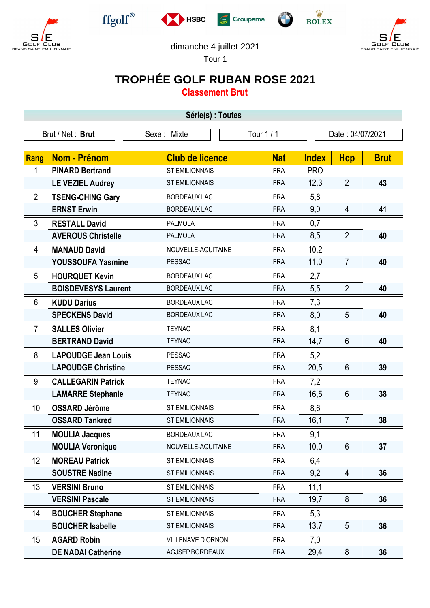







 $\frac{\dot{W}}{\text{ROLEX}}$ 



dimanche 4 juillet 2021

Tour 1

## **TROPHÉE GOLF RUBAN ROSE 2021**

**Classement Brut**

| Série(s) : Toutes |                            |                        |                                |              |                |             |  |
|-------------------|----------------------------|------------------------|--------------------------------|--------------|----------------|-------------|--|
|                   | Brut / Net: Brut           | Sexe: Mixte            | Tour 1 / 1<br>Date: 04/07/2021 |              |                |             |  |
|                   |                            |                        |                                |              |                |             |  |
| Rang              | Nom - Prénom               | <b>Club de licence</b> | <b>Nat</b>                     | <b>Index</b> | <b>Hcp</b>     | <b>Brut</b> |  |
| 1                 | <b>PINARD Bertrand</b>     | <b>ST EMILIONNAIS</b>  | <b>FRA</b>                     | <b>PRO</b>   |                |             |  |
|                   | <b>LE VEZIEL Audrey</b>    | <b>ST EMILIONNAIS</b>  | <b>FRA</b>                     | 12,3         | $\overline{2}$ | 43          |  |
| $\overline{2}$    | <b>TSENG-CHING Gary</b>    | <b>BORDEAUX LAC</b>    | <b>FRA</b>                     | 5,8          |                |             |  |
|                   | <b>ERNST Erwin</b>         | <b>BORDEAUX LAC</b>    | <b>FRA</b>                     | 9,0          | $\overline{4}$ | 41          |  |
| 3                 | <b>RESTALL David</b>       | <b>PALMOLA</b>         | <b>FRA</b>                     | 0,7          |                |             |  |
|                   | <b>AVEROUS Christelle</b>  | <b>PALMOLA</b>         | <b>FRA</b>                     | 8,5          | $\overline{2}$ | 40          |  |
| 4                 | <b>MANAUD David</b>        | NOUVELLE-AQUITAINE     | <b>FRA</b>                     | 10,2         |                |             |  |
|                   | <b>YOUSSOUFA Yasmine</b>   | <b>PESSAC</b>          | <b>FRA</b>                     | 11,0         | $\overline{7}$ | 40          |  |
| 5                 | <b>HOURQUET Kevin</b>      | <b>BORDEAUX LAC</b>    | <b>FRA</b>                     | 2,7          |                |             |  |
|                   | <b>BOISDEVESYS Laurent</b> | <b>BORDEAUX LAC</b>    | <b>FRA</b>                     | 5,5          | $\overline{2}$ | 40          |  |
| 6                 | <b>KUDU Darius</b>         | <b>BORDEAUX LAC</b>    | <b>FRA</b>                     | 7,3          |                |             |  |
|                   | <b>SPECKENS David</b>      | <b>BORDEAUX LAC</b>    | <b>FRA</b>                     | 8,0          | 5              | 40          |  |
| $\overline{7}$    | <b>SALLES Olivier</b>      | <b>TEYNAC</b>          | <b>FRA</b>                     | 8,1          |                |             |  |
|                   | <b>BERTRAND David</b>      | <b>TEYNAC</b>          | <b>FRA</b>                     | 14,7         | $6\phantom{1}$ | 40          |  |
| 8                 | <b>LAPOUDGE Jean Louis</b> | <b>PESSAC</b>          | <b>FRA</b>                     | 5,2          |                |             |  |
|                   | <b>LAPOUDGE Christine</b>  | <b>PESSAC</b>          | <b>FRA</b>                     | 20,5         | $6\phantom{1}$ | 39          |  |
| 9                 | <b>CALLEGARIN Patrick</b>  | <b>TEYNAC</b>          | <b>FRA</b>                     | 7,2          |                |             |  |
|                   | <b>LAMARRE Stephanie</b>   | <b>TEYNAC</b>          | <b>FRA</b>                     | 16,5         | $6\phantom{1}$ | 38          |  |
| 10                | <b>OSSARD Jérôme</b>       | <b>ST EMILIONNAIS</b>  | <b>FRA</b>                     | 8,6          |                |             |  |
|                   | <b>OSSARD Tankred</b>      | <b>ST EMILIONNAIS</b>  | <b>FRA</b>                     | 16,1         | 7              | 38          |  |
| 11                | <b>MOULIA Jacques</b>      | <b>BORDEAUX LAC</b>    | <b>FRA</b>                     | 9,1          |                |             |  |
|                   | <b>MOULIA Veronique</b>    | NOUVELLE-AQUITAINE     | <b>FRA</b>                     | 10,0         | $6\phantom{1}$ | 37          |  |
| 12                | <b>MOREAU Patrick</b>      | <b>ST EMILIONNAIS</b>  | <b>FRA</b>                     | 6,4          |                |             |  |
|                   | <b>SOUSTRE Nadine</b>      | <b>ST EMILIONNAIS</b>  | <b>FRA</b>                     | 9,2          | $\overline{4}$ | 36          |  |
| 13                | <b>VERSINI Bruno</b>       | <b>ST EMILIONNAIS</b>  | <b>FRA</b>                     | 11,1         |                |             |  |
|                   | <b>VERSINI Pascale</b>     | ST EMILIONNAIS         | <b>FRA</b>                     | 19,7         | $8\phantom{1}$ | 36          |  |
| 14                | <b>BOUCHER Stephane</b>    | <b>ST EMILIONNAIS</b>  | <b>FRA</b>                     | 5,3          |                |             |  |
|                   | <b>BOUCHER Isabelle</b>    | <b>ST EMILIONNAIS</b>  | <b>FRA</b>                     | 13,7         | 5              | 36          |  |
| 15                | <b>AGARD Robin</b>         | VILLENAVE D ORNON      | <b>FRA</b>                     | 7,0          |                |             |  |
|                   | <b>DE NADAI Catherine</b>  | AGJSEP BORDEAUX        | <b>FRA</b>                     | 29,4         | $\bf 8$        | 36          |  |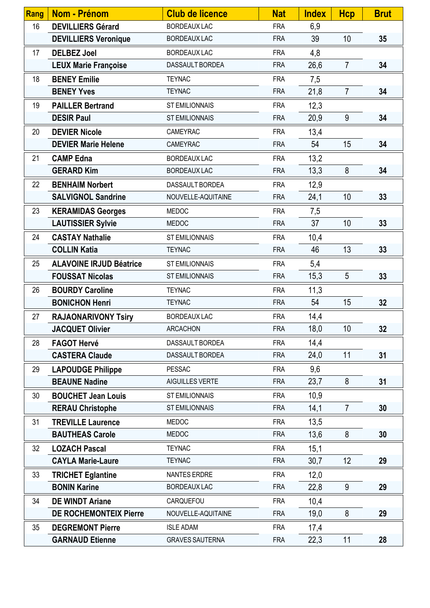| <b>Rang</b> | <b>Nom - Prénom</b>            | <b>Club de licence</b> | <b>Nat</b> | <b>Index</b> | <b>Hcp</b>      | <b>Brut</b> |
|-------------|--------------------------------|------------------------|------------|--------------|-----------------|-------------|
| 16          | <b>DEVILLIERS Gérard</b>       | <b>BORDEAUX LAC</b>    | <b>FRA</b> | 6,9          |                 |             |
|             | <b>DEVILLIERS Veronique</b>    | <b>BORDEAUX LAC</b>    | <b>FRA</b> | 39           | 10              | 35          |
| 17          | <b>DELBEZ Joel</b>             | <b>BORDEAUX LAC</b>    | <b>FRA</b> | 4,8          |                 |             |
|             | <b>LEUX Marie Françoise</b>    | DASSAULT BORDEA        | <b>FRA</b> | 26,6         | $\overline{7}$  | 34          |
| 18          | <b>BENEY Emilie</b>            | <b>TEYNAC</b>          | <b>FRA</b> | 7,5          |                 |             |
|             | <b>BENEY Yves</b>              | <b>TEYNAC</b>          | <b>FRA</b> | 21,8         | $\overline{7}$  | 34          |
| 19          | <b>PAILLER Bertrand</b>        | <b>ST EMILIONNAIS</b>  | <b>FRA</b> | 12,3         |                 |             |
|             | <b>DESIR Paul</b>              | <b>ST EMILIONNAIS</b>  | <b>FRA</b> | 20,9         | 9               | 34          |
| 20          | <b>DEVIER Nicole</b>           | CAMEYRAC               | <b>FRA</b> | 13,4         |                 |             |
|             | <b>DEVIER Marie Helene</b>     | CAMEYRAC               | <b>FRA</b> | 54           | 15              | 34          |
| 21          | <b>CAMP Edna</b>               | <b>BORDEAUX LAC</b>    | <b>FRA</b> | 13,2         |                 |             |
|             | <b>GERARD Kim</b>              | <b>BORDEAUX LAC</b>    | <b>FRA</b> | 13,3         | 8               | 34          |
| 22          | <b>BENHAIM Norbert</b>         | DASSAULT BORDEA        | <b>FRA</b> | 12,9         |                 |             |
|             | <b>SALVIGNOL Sandrine</b>      | NOUVELLE-AQUITAINE     | <b>FRA</b> | 24,1         | 10              | 33          |
| 23          | <b>KERAMIDAS Georges</b>       | <b>MEDOC</b>           | <b>FRA</b> | 7,5          |                 |             |
|             | <b>LAUTISSIER Sylvie</b>       | <b>MEDOC</b>           | <b>FRA</b> | 37           | 10              | 33          |
| 24          | <b>CASTAY Nathalie</b>         | <b>ST EMILIONNAIS</b>  | <b>FRA</b> | 10,4         |                 |             |
|             | <b>COLLIN Katia</b>            | <b>TEYNAC</b>          | <b>FRA</b> | 46           | 13              | 33          |
| 25          | <b>ALAVOINE IRJUD Béatrice</b> | <b>ST EMILIONNAIS</b>  | <b>FRA</b> | 5,4          |                 |             |
|             | <b>FOUSSAT Nicolas</b>         | <b>ST EMILIONNAIS</b>  | <b>FRA</b> | 15,3         | 5               | 33          |
| 26          | <b>BOURDY Caroline</b>         | <b>TEYNAC</b>          | <b>FRA</b> | 11,3         |                 |             |
|             | <b>BONICHON Henri</b>          | <b>TEYNAC</b>          | <b>FRA</b> | 54           | 15              | 32          |
| 27          | <b>RAJAONARIVONY Tsiry</b>     | <b>BORDEAUX LAC</b>    | <b>FRA</b> | 14,4         |                 |             |
|             | <b>JACQUET Olivier</b>         | <b>ARCACHON</b>        | <b>FRA</b> | 18,0         | 10 <sup>°</sup> | 32          |
| 28          | <b>FAGOT Hervé</b>             | DASSAULT BORDEA        | <b>FRA</b> | 14,4         |                 |             |
|             | <b>CASTERA Claude</b>          | DASSAULT BORDEA        | <b>FRA</b> | 24,0         | 11              | 31          |
| 29          | <b>LAPOUDGE Philippe</b>       | <b>PESSAC</b>          | <b>FRA</b> | 9,6          |                 |             |
|             | <b>BEAUNE Nadine</b>           | AIGUILLES VERTE        | <b>FRA</b> | 23,7         | 8               | 31          |
| 30          | <b>BOUCHET Jean Louis</b>      | <b>ST EMILIONNAIS</b>  | <b>FRA</b> | 10,9         |                 |             |
|             | <b>RERAU Christophe</b>        | <b>ST EMILIONNAIS</b>  | <b>FRA</b> | 14,1         | $\overline{7}$  | 30          |
| 31          | <b>TREVILLE Laurence</b>       | <b>MEDOC</b>           | <b>FRA</b> | 13,5         |                 |             |
|             | <b>BAUTHEAS Carole</b>         | <b>MEDOC</b>           | <b>FRA</b> | 13,6         | 8               | 30          |
| 32          | <b>LOZACH Pascal</b>           | <b>TEYNAC</b>          | <b>FRA</b> | 15,1         |                 |             |
|             | <b>CAYLA Marie-Laure</b>       | <b>TEYNAC</b>          | <b>FRA</b> | 30,7         | 12              | 29          |
| 33          | <b>TRICHET Eglantine</b>       | <b>NANTES ERDRE</b>    | <b>FRA</b> | 12,0         |                 |             |
|             | <b>BONIN Karine</b>            | <b>BORDEAUX LAC</b>    | <b>FRA</b> | 22,8         | 9               | 29          |
| 34          | <b>DE WINDT Ariane</b>         | CARQUEFOU              | <b>FRA</b> | 10,4         |                 |             |
|             | <b>DE ROCHEMONTEIX Pierre</b>  | NOUVELLE-AQUITAINE     | <b>FRA</b> | 19,0         | 8               | 29          |
| 35          | <b>DEGREMONT Pierre</b>        | <b>ISLE ADAM</b>       | <b>FRA</b> | 17,4         |                 |             |
|             | <b>GARNAUD Etienne</b>         | <b>GRAVES SAUTERNA</b> | <b>FRA</b> | 22,3         | 11              | 28          |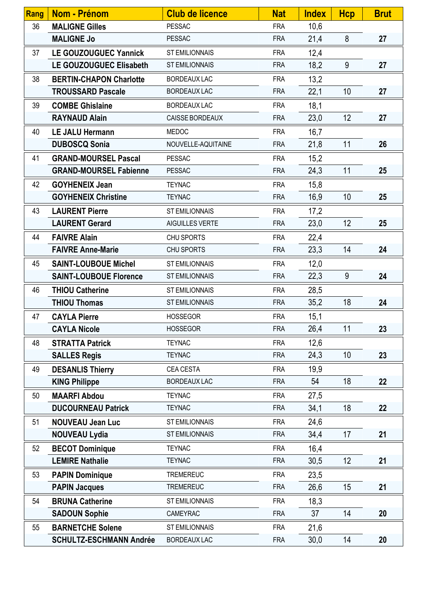| Rang | Nom - Prénom                   | <b>Club de licence</b> | <b>Nat</b> | <b>Index</b> | <b>Hcp</b> | <b>Brut</b> |
|------|--------------------------------|------------------------|------------|--------------|------------|-------------|
| 36   | <b>MALIGNE Gilles</b>          | <b>PESSAC</b>          | <b>FRA</b> | 10,6         |            |             |
|      | <b>MALIGNE Jo</b>              | <b>PESSAC</b>          | <b>FRA</b> | 21,4         | 8          | 27          |
| 37   | <b>LE GOUZOUGUEC Yannick</b>   | <b>ST EMILIONNAIS</b>  | <b>FRA</b> | 12,4         |            |             |
|      | LE GOUZOUGUEC Elisabeth        | <b>ST EMILIONNAIS</b>  | <b>FRA</b> | 18,2         | 9          | 27          |
| 38   | <b>BERTIN-CHAPON Charlotte</b> | <b>BORDEAUX LAC</b>    | <b>FRA</b> | 13,2         |            |             |
|      | <b>TROUSSARD Pascale</b>       | <b>BORDEAUX LAC</b>    | <b>FRA</b> | 22,1         | 10         | 27          |
| 39   | <b>COMBE Ghislaine</b>         | <b>BORDEAUX LAC</b>    | <b>FRA</b> | 18,1         |            |             |
|      | <b>RAYNAUD Alain</b>           | CAISSE BORDEAUX        | <b>FRA</b> | 23,0         | 12         | 27          |
| 40   | <b>LE JALU Hermann</b>         | <b>MEDOC</b>           | <b>FRA</b> | 16,7         |            |             |
|      | <b>DUBOSCQ Sonia</b>           | NOUVELLE-AQUITAINE     | <b>FRA</b> | 21,8         | 11         | 26          |
| 41   | <b>GRAND-MOURSEL Pascal</b>    | <b>PESSAC</b>          | <b>FRA</b> | 15,2         |            |             |
|      | <b>GRAND-MOURSEL Fabienne</b>  | <b>PESSAC</b>          | <b>FRA</b> | 24,3         | 11         | 25          |
| 42   | <b>GOYHENEIX Jean</b>          | <b>TEYNAC</b>          | <b>FRA</b> | 15,8         |            |             |
|      | <b>GOYHENEIX Christine</b>     | <b>TEYNAC</b>          | <b>FRA</b> | 16,9         | 10         | 25          |
| 43   | <b>LAURENT Pierre</b>          | <b>ST EMILIONNAIS</b>  | <b>FRA</b> | 17,2         |            |             |
|      | <b>LAURENT Gerard</b>          | AIGUILLES VERTE        | <b>FRA</b> | 23,0         | 12         | 25          |
| 44   | <b>FAIVRE Alain</b>            | CHU SPORTS             | <b>FRA</b> | 22,4         |            |             |
|      | <b>FAIVRE Anne-Marie</b>       | CHU SPORTS             | <b>FRA</b> | 23,3         | 14         | 24          |
| 45   | <b>SAINT-LOUBOUE Michel</b>    | <b>ST EMILIONNAIS</b>  | <b>FRA</b> | 12,0         |            |             |
|      | <b>SAINT-LOUBOUE Florence</b>  | <b>ST EMILIONNAIS</b>  | <b>FRA</b> | 22,3         | 9          | 24          |
| 46   | <b>THIOU Catherine</b>         | <b>ST EMILIONNAIS</b>  | <b>FRA</b> | 28,5         |            |             |
|      | <b>THIOU Thomas</b>            | <b>ST EMILIONNAIS</b>  | <b>FRA</b> | 35,2         | 18         | 24          |
| 47   | <b>CAYLA Pierre</b>            | <b>HOSSEGOR</b>        | <b>FRA</b> | 15,1         |            |             |
|      | <b>CAYLA Nicole</b>            | <b>HOSSEGOR</b>        | <b>FRA</b> | 26,4         | 11         | 23          |
| 48   | <b>STRATTA Patrick</b>         | <b>TEYNAC</b>          | <b>FRA</b> | 12,6         |            |             |
|      | <b>SALLES Regis</b>            | <b>TEYNAC</b>          | <b>FRA</b> | 24,3         | 10         | 23          |
| 49   | <b>DESANLIS Thierry</b>        | CEA CESTA              | <b>FRA</b> | 19,9         |            |             |
|      | <b>KING Philippe</b>           | <b>BORDEAUX LAC</b>    | <b>FRA</b> | 54           | 18         | 22          |
| 50   | <b>MAARFI Abdou</b>            | <b>TEYNAC</b>          | <b>FRA</b> | 27,5         |            |             |
|      | <b>DUCOURNEAU Patrick</b>      | <b>TEYNAC</b>          | <b>FRA</b> | 34,1         | 18         | 22          |
| 51   | <b>NOUVEAU Jean Luc</b>        | <b>ST EMILIONNAIS</b>  | <b>FRA</b> | 24,6         |            |             |
|      | <b>NOUVEAU Lydia</b>           | <b>ST EMILIONNAIS</b>  | <b>FRA</b> | 34,4         | 17         | 21          |
| 52   | <b>BECOT Dominique</b>         | <b>TEYNAC</b>          | <b>FRA</b> | 16,4         |            |             |
|      | <b>LEMIRE Nathalie</b>         | <b>TEYNAC</b>          | <b>FRA</b> | 30,5         | 12         | 21          |
| 53   | <b>PAPIN Dominique</b>         | <b>TREMEREUC</b>       | <b>FRA</b> | 23,5         |            |             |
|      | <b>PAPIN Jacques</b>           | <b>TREMEREUC</b>       | <b>FRA</b> | 26,6         | 15         | 21          |
| 54   | <b>BRUNA Catherine</b>         | <b>ST EMILIONNAIS</b>  | <b>FRA</b> | 18,3         |            |             |
|      | <b>SADOUN Sophie</b>           | CAMEYRAC               | <b>FRA</b> | 37           | 14         | 20          |
| 55   | <b>BARNETCHE Solene</b>        | <b>ST EMILIONNAIS</b>  | <b>FRA</b> | 21,6         |            |             |
|      | <b>SCHULTZ-ESCHMANN Andrée</b> | <b>BORDEAUX LAC</b>    | <b>FRA</b> | 30,0         | 14         | 20          |